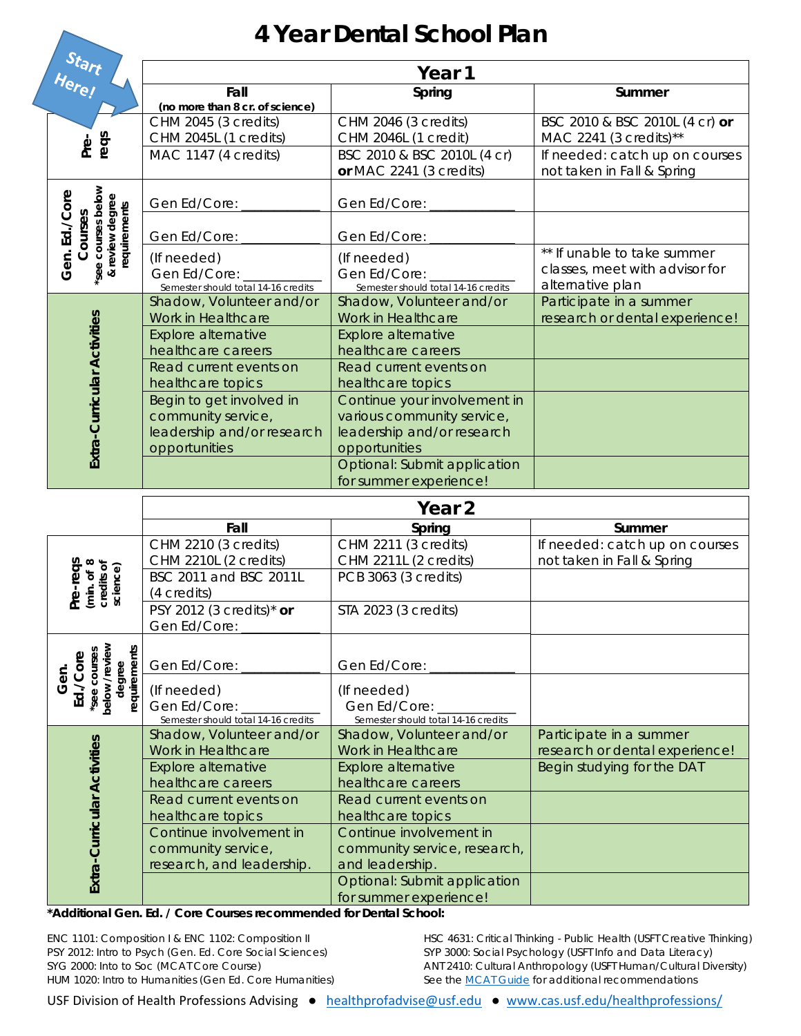## **4 Year Dental School Plan**

| Start<br>Here!                                                                   | Fall<br>(no more than 8 cr. of science)                                                       | Spring                                                                                                    | Summer                                                                            |  |  |  |
|----------------------------------------------------------------------------------|-----------------------------------------------------------------------------------------------|-----------------------------------------------------------------------------------------------------------|-----------------------------------------------------------------------------------|--|--|--|
| reqs<br>Pre-                                                                     | CHM 2045 (3 credits)<br>CHM 2045L (1 credits)                                                 | CHM 2046 (3 credits)<br>CHM 2046L (1 credit)                                                              | BSC 2010 & BSC 2010L (4 cr) or<br>MAC 2241 (3 credits)**                          |  |  |  |
|                                                                                  | MAC 1147 (4 credits)                                                                          | BSC 2010 & BSC 2010L (4 cr)<br>or MAC 2241 (3 credits)                                                    | If needed: catch up on courses<br>not taken in Fall & Spring                      |  |  |  |
| see courses below<br>Gen. Ed./Core<br>& review degree<br>requirements<br>Courses | Gen Ed/Core:                                                                                  | Gen Ed/Core:                                                                                              |                                                                                   |  |  |  |
|                                                                                  | Gen Ed/Core:                                                                                  | Gen Ed/Core:                                                                                              |                                                                                   |  |  |  |
|                                                                                  | (If needed)<br>Gen Ed/Core:<br>Semester should total 14-16 credits                            | (If needed)<br>Gen Ed/Core:<br>Semester should total 14-16 credits                                        | ** If unable to take summer<br>classes, meet with advisor for<br>alternative plan |  |  |  |
|                                                                                  | Shadow, Volunteer and/or<br>Work in Healthcare                                                | Shadow, Volunteer and/or<br>Work in Healthcare                                                            | Participate in a summer<br>research or dental experience!                         |  |  |  |
| Extra-Curricular Activities                                                      | <b>Explore alternative</b><br>healthcare careers                                              | <b>Explore alternative</b><br>healthcare careers                                                          |                                                                                   |  |  |  |
|                                                                                  | Read current events on<br>healthcare topics                                                   | Read current events on<br>healthcare topics                                                               |                                                                                   |  |  |  |
|                                                                                  | Begin to get involved in<br>community service,<br>leadership and/or research<br>opportunities | Continue your involvement in<br>various community service,<br>leadership and/or research<br>opportunities |                                                                                   |  |  |  |
|                                                                                  |                                                                                               | Optional: Submit application<br>for summer experience!                                                    |                                                                                   |  |  |  |
|                                                                                  | Year <sub>2</sub>                                                                             |                                                                                                           |                                                                                   |  |  |  |
|                                                                                  | Fall                                                                                          | Spring                                                                                                    | Summer                                                                            |  |  |  |
| Pre-reqs<br>(min. of 8)<br>credits of<br>science)                                | CHM 2210 (3 credits)<br>CHM 2210L (2 credits)                                                 | CHM 2211 (3 credits)<br>CHM 2211L (2 credits)                                                             | If needed: catch up on courses<br>not taken in Fall & Spring                      |  |  |  |
|                                                                                  | BSC 2011 and BSC 2011L<br>(4 credits)                                                         | PCB 3063 (3 credits)                                                                                      |                                                                                   |  |  |  |
|                                                                                  | PSY 2012 (3 credits)* or<br>Gen Ed/Core:                                                      | STA 2023 (3 credits)                                                                                      |                                                                                   |  |  |  |
| below /review<br>requirements<br>see courses<br>Ed./Core<br>degree<br>Gen.       |                                                                                               |                                                                                                           |                                                                                   |  |  |  |
|                                                                                  | Gen Ed/Core:<br>(If needed)                                                                   | Gen Ed/Core:<br>(If needed)                                                                               |                                                                                   |  |  |  |
|                                                                                  | Gen Ed/Core:<br>Semester should total 14-16 credits                                           | Gen Ed/Core:<br>Semester should total 14-16 credits                                                       |                                                                                   |  |  |  |
| Extra-Curricular Activities                                                      | Shadow, Volunteer and/or<br>Work in Healthcare                                                | Shadow, Volunteer and/or<br>Work in Healthcare                                                            | Participate in a summer<br>research or dental experience!                         |  |  |  |
|                                                                                  | <b>Explore alternative</b><br>healthcare careers                                              | Explore alternative<br>healthcare careers                                                                 | Begin studying for the DAT                                                        |  |  |  |
|                                                                                  | Read current events on<br>healthcare topics                                                   | Read current events on<br>healthcare topics                                                               |                                                                                   |  |  |  |
|                                                                                  | Continue involvement in<br>community service,<br>research, and leadership.                    | Continue involvement in<br>community service, research,<br>and leadership.                                |                                                                                   |  |  |  |
|                                                                                  |                                                                                               | Optional: Submit application<br>for summer experience!                                                    |                                                                                   |  |  |  |

**\*Additional Gen. Ed. / Core Courses recommended for Dental School:** 

ENC 1101: Composition I & ENC 1102: Composition II PSY 2012: Intro to Psych (Gen. Ed. Core Social Sciences) SYG 2000: Into to Soc (MCAT Core Course) HUM 1020: Intro to Humanities (Gen Ed. Core Humanities) HSC 4631: Critical Thinking - Public Health (USFT Creative Thinking) SYP 3000: Social Psychology (USFT Info and Data Literacy) ANT 2410: Cultural Anthropology (USFT Human/Cultural Diversity) *See the MCAT Guide for additional recommendations*